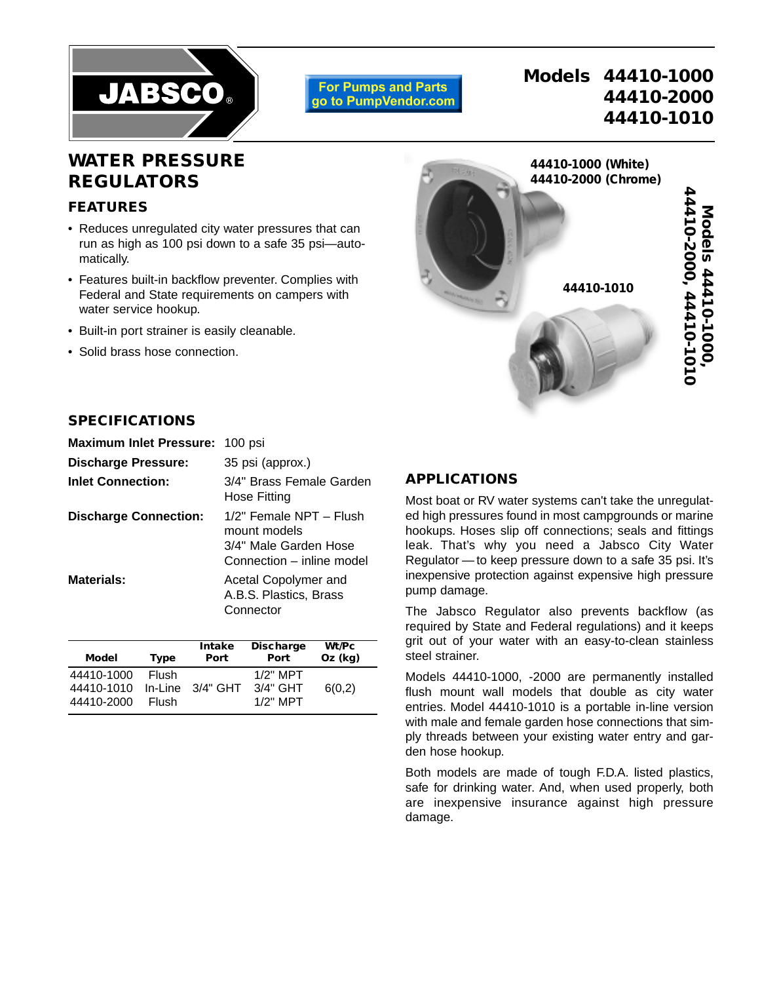

**For Pumps and Parts** go to PumpVendor.com

# **Models 44410-1000 44410-2000 44410-1010**

## **WATER PRESSURE REGULATORS**

## **FEATURES**

- Reduces unregulated city water pressures that can run as high as 100 psi down to a safe 35 psi—automatically.
- Features built-in backflow preventer. Complies with Federal and State requirements on campers with water service hookup.
- Built-in port strainer is easily cleanable.
- Solid brass hose connection.



#### **SPECIFICATIONS**

| <b>Maximum Inlet Pressure:</b> | 100 psi                                                                                       |  |
|--------------------------------|-----------------------------------------------------------------------------------------------|--|
| <b>Discharge Pressure:</b>     | 35 psi (approx.)                                                                              |  |
| <b>Inlet Connection:</b>       | 3/4" Brass Female Garden<br>Hose Fitting                                                      |  |
| <b>Discharge Connection:</b>   | 1/2" Female NPT - Flush<br>mount models<br>3/4" Male Garden Hose<br>Connection – inline model |  |
| Materials:                     | Acetal Copolymer and<br>A.B.S. Plastics, Brass<br>Connector                                   |  |

| Model                                  | <b>Type</b>           | <b>Intake</b><br>Port | <b>Discharge</b><br>Port               | Wt/Pc<br>$Oz$ (kg) |
|----------------------------------------|-----------------------|-----------------------|----------------------------------------|--------------------|
| 44410-1000<br>44410-1010<br>44410-2000 | <b>Flush</b><br>Flush | In-Line 3/4" GHT      | $1/2"$ MPT<br>$3/4"$ GHT<br>$1/2"$ MPT | 6(0,2)             |

#### **APPLICATIONS**

Most boat or RV water systems can't take the unregulated high pressures found in most campgrounds or marine hookups. Hoses slip off connections; seals and fittings leak. That's why you need a Jabsco City Water Regulator — to keep pressure down to a safe 35 psi. It's inexpensive protection against expensive high pressure pump damage.

The Jabsco Regulator also prevents backflow (as required by State and Federal regulations) and it keeps grit out of your water with an easy-to-clean stainless steel strainer.

Models 44410-1000, -2000 are permanently installed flush mount wall models that double as city water entries. Model 44410-1010 is a portable in-line version with male and female garden hose connections that simply threads between your existing water entry and garden hose hookup.

Both models are made of tough F.D.A. listed plastics, safe for drinking water. And, when used properly, both are inexpensive insurance against high pressure damage.